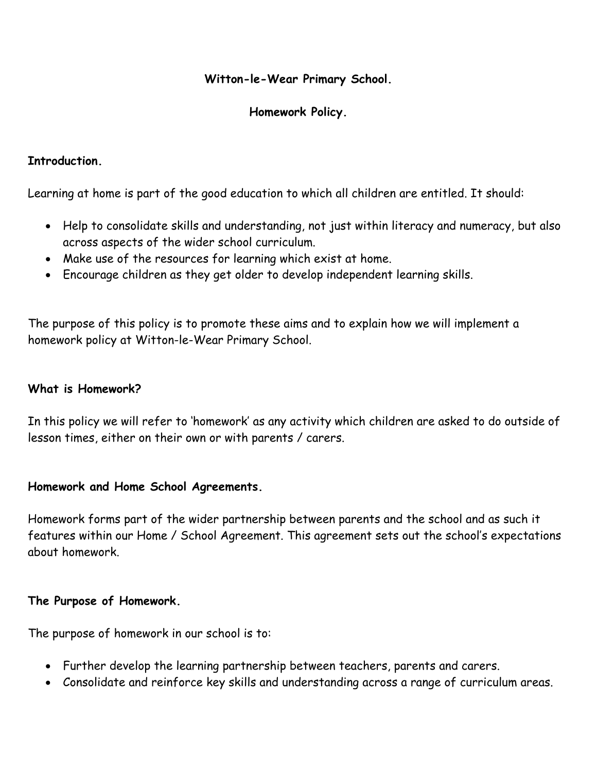## **Witton-le-Wear Primary School.**

# **Homework Policy.**

## **Introduction.**

Learning at home is part of the good education to which all children are entitled. It should:

- Help to consolidate skills and understanding, not just within literacy and numeracy, but also across aspects of the wider school curriculum.
- Make use of the resources for learning which exist at home.
- Encourage children as they get older to develop independent learning skills.

The purpose of this policy is to promote these aims and to explain how we will implement a homework policy at Witton-le-Wear Primary School.

#### **What is Homework?**

In this policy we will refer to 'homework' as any activity which children are asked to do outside of lesson times, either on their own or with parents / carers.

#### **Homework and Home School Agreements.**

Homework forms part of the wider partnership between parents and the school and as such it features within our Home / School Agreement. This agreement sets out the school's expectations about homework.

#### **The Purpose of Homework.**

The purpose of homework in our school is to:

- Further develop the learning partnership between teachers, parents and carers.
- Consolidate and reinforce key skills and understanding across a range of curriculum areas.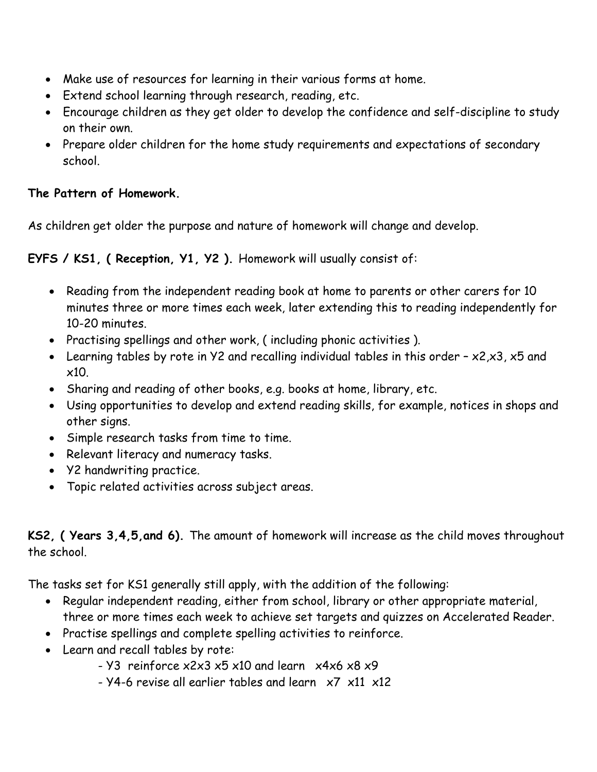- Make use of resources for learning in their various forms at home.
- Extend school learning through research, reading, etc.
- Encourage children as they get older to develop the confidence and self-discipline to study on their own.
- Prepare older children for the home study requirements and expectations of secondary school.

# **The Pattern of Homework.**

As children get older the purpose and nature of homework will change and develop.

**EYFS / KS1, ( Reception, Y1, Y2 ).** Homework will usually consist of:

- Reading from the independent reading book at home to parents or other carers for 10 minutes three or more times each week, later extending this to reading independently for 10-20 minutes.
- Practising spellings and other work, ( including phonic activities ).
- Learning tables by rote in Y2 and recalling individual tables in this order x2,x3, x5 and x10.
- Sharing and reading of other books, e.g. books at home, library, etc.
- Using opportunities to develop and extend reading skills, for example, notices in shops and other signs.
- Simple research tasks from time to time.
- Relevant literacy and numeracy tasks.
- Y2 handwriting practice.
- Topic related activities across subject areas.

**KS2, ( Years 3,4,5,and 6).** The amount of homework will increase as the child moves throughout the school.

The tasks set for KS1 generally still apply, with the addition of the following:

- Regular independent reading, either from school, library or other appropriate material, three or more times each week to achieve set targets and quizzes on Accelerated Reader.
- Practise spellings and complete spelling activities to reinforce.
- Learn and recall tables by rote:
	- Y3 reinforce x2x3 x5 x10 and learn x4x6 x8 x9
	- Y4-6 revise all earlier tables and learn x7 x11 x12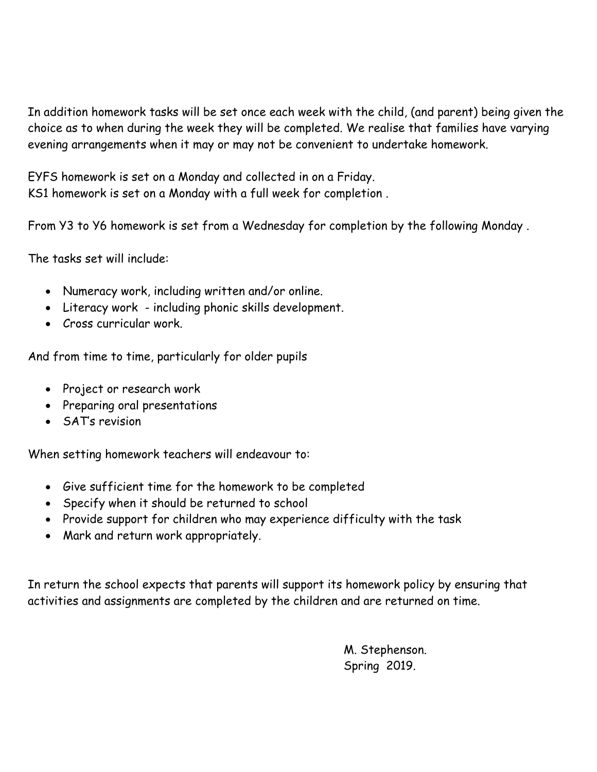In addition homework tasks will be set once each week with the child, (and parent) being given the choice as to when during the week they will be completed. We realise that families have varying evening arrangements when it may or may not be convenient to undertake homework.

EYFS homework is set on a Monday and collected in on a Friday. KS1 homework is set on a Monday with a full week for completion .

From Y3 to Y6 homework is set from a Wednesday for completion by the following Monday .

The tasks set will include:

- Numeracy work, including written and/or online.
- Literacy work including phonic skills development.
- Cross curricular work.

And from time to time, particularly for older pupils

- Project or research work
- Preparing oral presentations
- SAT's revision

When setting homework teachers will endeavour to:

- Give sufficient time for the homework to be completed
- Specify when it should be returned to school
- Provide support for children who may experience difficulty with the task
- Mark and return work appropriately.

In return the school expects that parents will support its homework policy by ensuring that activities and assignments are completed by the children and are returned on time.

> M. Stephenson. Spring 2019.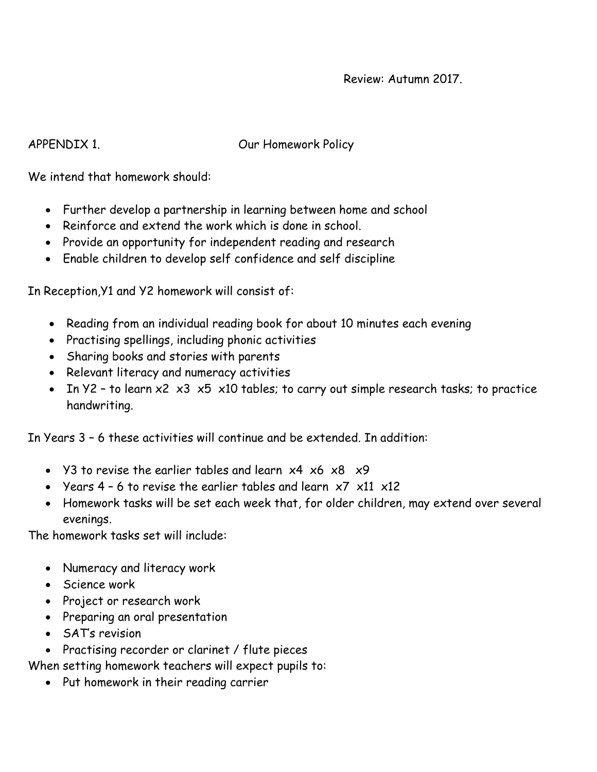#### Review: Autumn 2017.

APPENDIX 1. Our Homework Policy

We intend that homework should:

- Further develop a partnership in learning between home and school
- Reinforce and extend the work which is done in school.
- Provide an opportunity for independent reading and research
- Enable children to develop self confidence and self discipline

In Reception,Y1 and Y2 homework will consist of:

- Reading from an individual reading book for about 10 minutes each evening
- Practising spellings, including phonic activities
- Sharing books and stories with parents
- Relevant literacy and numeracy activities
- In  $Y2$  to learn  $x2$   $x3$   $x5$   $x10$  tables; to carry out simple research tasks; to practice handwriting.

In Years 3 – 6 these activities will continue and be extended. In addition:

- Y3 to revise the earlier tables and learn  $x4 \times 6 \times 8 \times 9$
- Years  $4 6$  to revise the earlier tables and learn  $\times 7 \times 11 \times 12$
- Homework tasks will be set each week that, for older children, may extend over several evenings.

The homework tasks set will include:

- Numeracy and literacy work
- Science work
- Project or research work
- Preparing an oral presentation
- SAT's revision
- Practising recorder or clarinet / flute pieces

When setting homework teachers will expect pupils to:

• Put homework in their reading carrier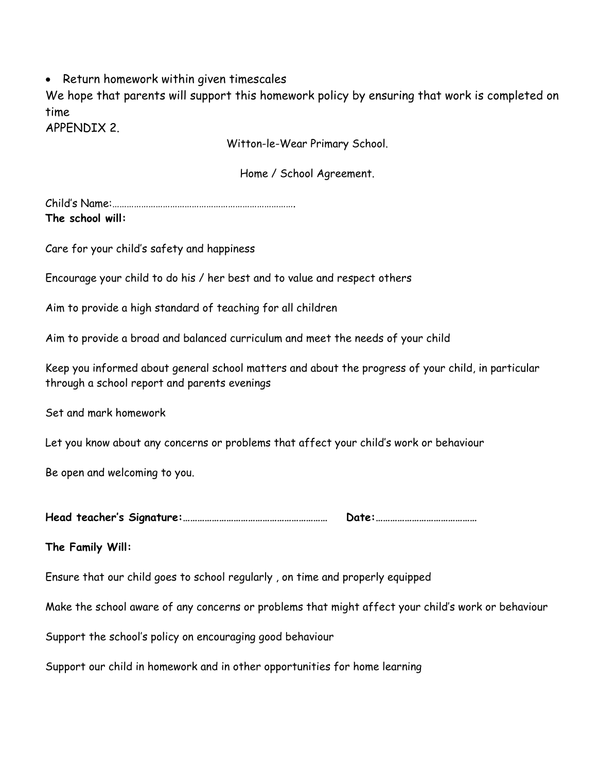• Return homework within given timescales

We hope that parents will support this homework policy by ensuring that work is completed on time

APPENDIX 2.

Witton-le-Wear Primary School.

Home / School Agreement.

Child's Name:…………………………………………………………………. **The school will:**

Care for your child's safety and happiness

Encourage your child to do his / her best and to value and respect others

Aim to provide a high standard of teaching for all children

Aim to provide a broad and balanced curriculum and meet the needs of your child

Keep you informed about general school matters and about the progress of your child, in particular through a school report and parents evenings

Set and mark homework

Let you know about any concerns or problems that affect your child's work or behaviour

Be open and welcoming to you.

**Head teacher's Signature:…………………………………………………… Date:……………………………………**

**The Family Will:**

Ensure that our child goes to school regularly , on time and properly equipped

Make the school aware of any concerns or problems that might affect your child's work or behaviour

Support the school's policy on encouraging good behaviour

Support our child in homework and in other opportunities for home learning